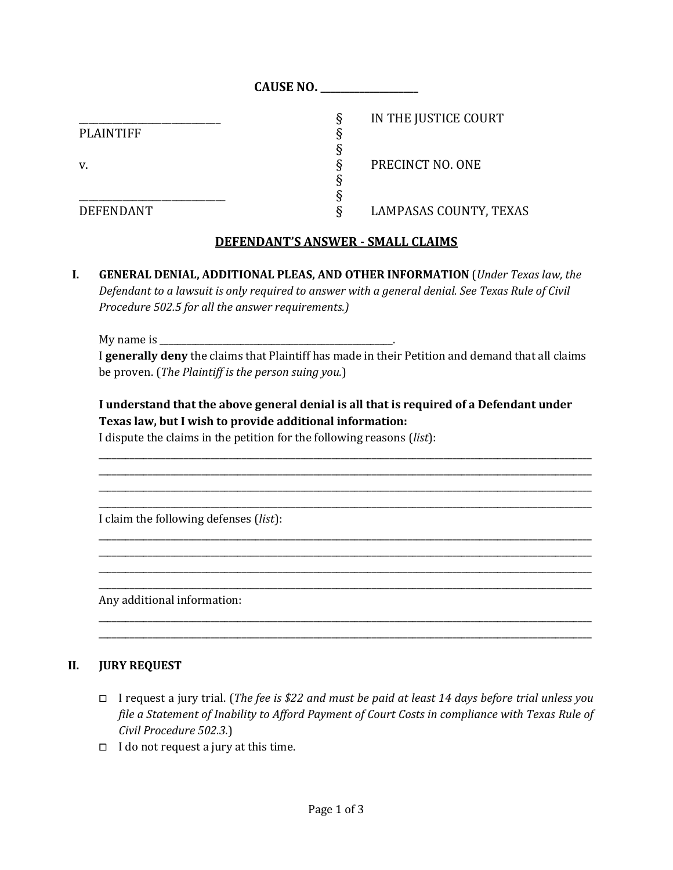|                  | <b>CAUSE NO.</b>          |  |
|------------------|---------------------------|--|
|                  | IN THE JUSTICE COURT<br>ş |  |
| <b>PLAINTIFF</b> |                           |  |
|                  |                           |  |
| v.               | PRECINCT NO. ONE<br>9     |  |
|                  |                           |  |
|                  |                           |  |
| <b>DEFENDANT</b> | LAMPASAS COUNTY, TEXAS    |  |

# **DEFENDANT'S ANSWER - SMALL CLAIMS**

**I. GENERAL DENIAL, ADDITIONAL PLEAS, AND OTHER INFORMATION** (*Under Texas law, the Defendant to a lawsuit is only required to answer with a general denial. See Texas Rule of Civil Procedure 502.5 for all the answer requirements.)*

My name is  $\Box$ 

I **generally deny** the claims that Plaintiff has made in their Petition and demand that all claims be proven. (*The Plaintiff is the person suing you.*)

# **I understand that the above general denial is all that is required of a Defendant under Texas law, but I wish to provide additional information:**

\_\_\_\_\_\_\_\_\_\_\_\_\_\_\_\_\_\_\_\_\_\_\_\_\_\_\_\_\_\_\_\_\_\_\_\_\_\_\_\_\_\_\_\_\_\_\_\_\_\_\_\_\_\_\_\_\_\_\_\_\_\_\_\_\_\_\_\_\_\_\_\_\_\_\_\_\_\_\_\_\_\_\_\_\_\_\_\_\_\_\_\_\_\_\_\_\_\_\_\_\_\_\_\_\_\_\_\_\_\_ \_\_\_\_\_\_\_\_\_\_\_\_\_\_\_\_\_\_\_\_\_\_\_\_\_\_\_\_\_\_\_\_\_\_\_\_\_\_\_\_\_\_\_\_\_\_\_\_\_\_\_\_\_\_\_\_\_\_\_\_\_\_\_\_\_\_\_\_\_\_\_\_\_\_\_\_\_\_\_\_\_\_\_\_\_\_\_\_\_\_\_\_\_\_\_\_\_\_\_\_\_\_\_\_\_\_\_\_\_\_ \_\_\_\_\_\_\_\_\_\_\_\_\_\_\_\_\_\_\_\_\_\_\_\_\_\_\_\_\_\_\_\_\_\_\_\_\_\_\_\_\_\_\_\_\_\_\_\_\_\_\_\_\_\_\_\_\_\_\_\_\_\_\_\_\_\_\_\_\_\_\_\_\_\_\_\_\_\_\_\_\_\_\_\_\_\_\_\_\_\_\_\_\_\_\_\_\_\_\_\_\_\_\_\_\_\_\_\_\_\_ \_\_\_\_\_\_\_\_\_\_\_\_\_\_\_\_\_\_\_\_\_\_\_\_\_\_\_\_\_\_\_\_\_\_\_\_\_\_\_\_\_\_\_\_\_\_\_\_\_\_\_\_\_\_\_\_\_\_\_\_\_\_\_\_\_\_\_\_\_\_\_\_\_\_\_\_\_\_\_\_\_\_\_\_\_\_\_\_\_\_\_\_\_\_\_\_\_\_\_\_\_\_\_\_\_\_\_\_\_\_

\_\_\_\_\_\_\_\_\_\_\_\_\_\_\_\_\_\_\_\_\_\_\_\_\_\_\_\_\_\_\_\_\_\_\_\_\_\_\_\_\_\_\_\_\_\_\_\_\_\_\_\_\_\_\_\_\_\_\_\_\_\_\_\_\_\_\_\_\_\_\_\_\_\_\_\_\_\_\_\_\_\_\_\_\_\_\_\_\_\_\_\_\_\_\_\_\_\_\_\_\_\_\_\_\_\_\_\_\_\_ \_\_\_\_\_\_\_\_\_\_\_\_\_\_\_\_\_\_\_\_\_\_\_\_\_\_\_\_\_\_\_\_\_\_\_\_\_\_\_\_\_\_\_\_\_\_\_\_\_\_\_\_\_\_\_\_\_\_\_\_\_\_\_\_\_\_\_\_\_\_\_\_\_\_\_\_\_\_\_\_\_\_\_\_\_\_\_\_\_\_\_\_\_\_\_\_\_\_\_\_\_\_\_\_\_\_\_\_\_\_ \_\_\_\_\_\_\_\_\_\_\_\_\_\_\_\_\_\_\_\_\_\_\_\_\_\_\_\_\_\_\_\_\_\_\_\_\_\_\_\_\_\_\_\_\_\_\_\_\_\_\_\_\_\_\_\_\_\_\_\_\_\_\_\_\_\_\_\_\_\_\_\_\_\_\_\_\_\_\_\_\_\_\_\_\_\_\_\_\_\_\_\_\_\_\_\_\_\_\_\_\_\_\_\_\_\_\_\_\_\_ \_\_\_\_\_\_\_\_\_\_\_\_\_\_\_\_\_\_\_\_\_\_\_\_\_\_\_\_\_\_\_\_\_\_\_\_\_\_\_\_\_\_\_\_\_\_\_\_\_\_\_\_\_\_\_\_\_\_\_\_\_\_\_\_\_\_\_\_\_\_\_\_\_\_\_\_\_\_\_\_\_\_\_\_\_\_\_\_\_\_\_\_\_\_\_\_\_\_\_\_\_\_\_\_\_\_\_\_\_\_

\_\_\_\_\_\_\_\_\_\_\_\_\_\_\_\_\_\_\_\_\_\_\_\_\_\_\_\_\_\_\_\_\_\_\_\_\_\_\_\_\_\_\_\_\_\_\_\_\_\_\_\_\_\_\_\_\_\_\_\_\_\_\_\_\_\_\_\_\_\_\_\_\_\_\_\_\_\_\_\_\_\_\_\_\_\_\_\_\_\_\_\_\_\_\_\_\_\_\_\_\_\_\_\_\_\_\_\_\_\_ \_\_\_\_\_\_\_\_\_\_\_\_\_\_\_\_\_\_\_\_\_\_\_\_\_\_\_\_\_\_\_\_\_\_\_\_\_\_\_\_\_\_\_\_\_\_\_\_\_\_\_\_\_\_\_\_\_\_\_\_\_\_\_\_\_\_\_\_\_\_\_\_\_\_\_\_\_\_\_\_\_\_\_\_\_\_\_\_\_\_\_\_\_\_\_\_\_\_\_\_\_\_\_\_\_\_\_\_\_\_

I dispute the claims in the petition for the following reasons (*list*):

I claim the following defenses (*list*):

Any additional information:

### **II. JURY REQUEST**

- ⧠ I request a jury trial. (*The fee is \$22 and must be paid at least 14 days before trial unless you file a Statement of Inability to Afford Payment of Court Costs in compliance with Texas Rule of Civil Procedure 502.3.*)
- $\Box$  I do not request a jury at this time.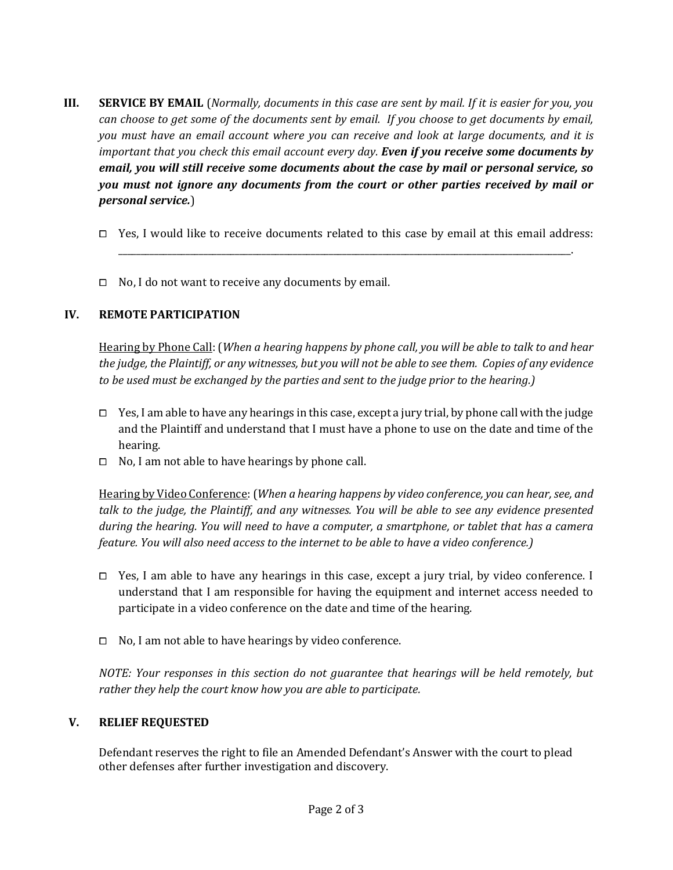- **III. SERVICE BY EMAIL** (*Normally, documents in this case are sent by mail. If it is easier for you, you can choose to get some of the documents sent by email. If you choose to get documents by email, you must have an email account where you can receive and look at large documents, and it is important that you check this email account every day. Even if you receive some documents by email, you will still receive some documents about the case by mail or personal service, so you must not ignore any documents from the court or other parties received by mail or personal service.*)
	- □ Yes, I would like to receive documents related to this case by email at this email address: \_\_\_\_\_\_\_\_\_\_\_\_\_\_\_\_\_\_\_\_\_\_\_\_\_\_\_\_\_\_\_\_\_\_\_\_\_\_\_\_\_\_\_\_\_\_\_\_\_\_\_\_\_\_\_\_\_\_\_\_\_\_\_\_\_\_\_\_\_\_\_\_\_\_\_\_\_\_\_\_\_\_\_\_\_\_\_\_\_\_\_\_\_\_\_\_\_\_\_\_\_.
	- $\Box$  No, I do not want to receive any documents by email.

## **IV. REMOTE PARTICIPATION**

Hearing by Phone Call: (*When a hearing happens by phone call, you will be able to talk to and hear the judge, the Plaintiff, or any witnesses, but you will not be able to see them. Copies of any evidence to be used must be exchanged by the parties and sent to the judge prior to the hearing.)*

- $\Box$  Yes, I am able to have any hearings in this case, except a jury trial, by phone call with the judge and the Plaintiff and understand that I must have a phone to use on the date and time of the hearing.
- $\Box$  No, I am not able to have hearings by phone call.

Hearing by Video Conference: (*When a hearing happens by video conference, you can hear, see, and talk to the judge, the Plaintiff, and any witnesses. You will be able to see any evidence presented during the hearing. You will need to have a computer, a smartphone, or tablet that has a camera feature. You will also need access to the internet to be able to have a video conference.)*

- $\Box$  Yes, I am able to have any hearings in this case, except a jury trial, by video conference. I understand that I am responsible for having the equipment and internet access needed to participate in a video conference on the date and time of the hearing.
- $\Box$  No, I am not able to have hearings by video conference.

*NOTE: Your responses in this section do not guarantee that hearings will be held remotely, but rather they help the court know how you are able to participate.*

### **V. RELIEF REQUESTED**

Defendant reserves the right to file an Amended Defendant's Answer with the court to plead other defenses after further investigation and discovery.